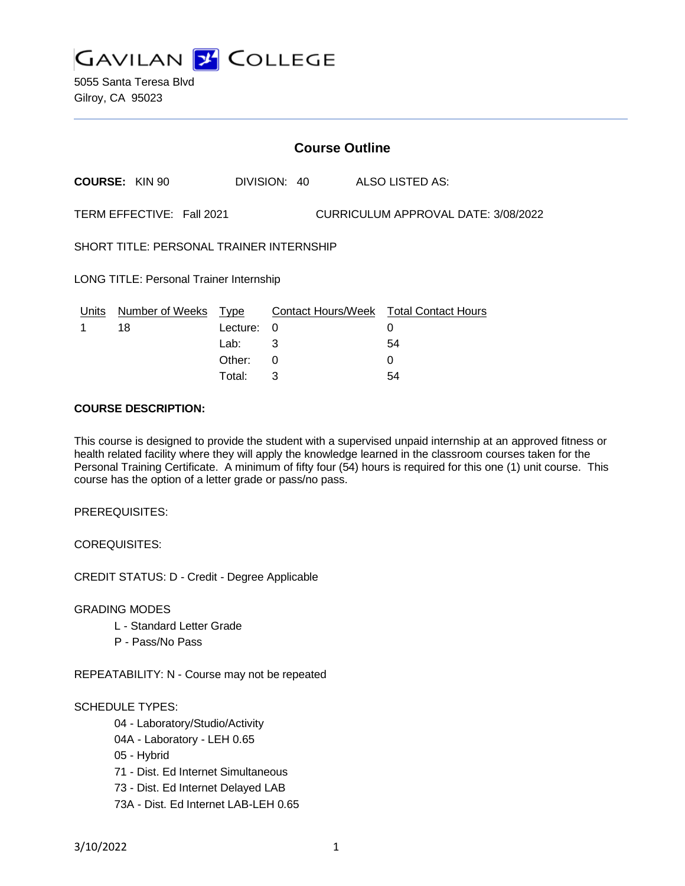

5055 Santa Teresa Blvd Gilroy, CA 95023

| <b>Course Outline</b>                                            |                       |          |   |              |  |                                        |
|------------------------------------------------------------------|-----------------------|----------|---|--------------|--|----------------------------------------|
|                                                                  | <b>COURSE: KIN 90</b> |          |   | DIVISION: 40 |  | ALSO LISTED AS:                        |
| TERM EFFECTIVE: Fall 2021<br>CURRICULUM APPROVAL DATE: 3/08/2022 |                       |          |   |              |  |                                        |
| SHORT TITLE: PERSONAL TRAINER INTERNSHIP                         |                       |          |   |              |  |                                        |
| <b>LONG TITLE: Personal Trainer Internship</b>                   |                       |          |   |              |  |                                        |
| Units                                                            | Number of Weeks Type  |          |   |              |  | Contact Hours/Week Total Contact Hours |
| 1                                                                | 18                    | Lecture: | 0 |              |  | 0                                      |
|                                                                  |                       | Lab:     | 3 |              |  | 54                                     |
|                                                                  |                       | Other:   | 0 |              |  | 0                                      |

Total: 3 54

## **COURSE DESCRIPTION:**

This course is designed to provide the student with a supervised unpaid internship at an approved fitness or health related facility where they will apply the knowledge learned in the classroom courses taken for the Personal Training Certificate. A minimum of fifty four (54) hours is required for this one (1) unit course. This course has the option of a letter grade or pass/no pass.

PREREQUISITES:

COREQUISITES:

CREDIT STATUS: D - Credit - Degree Applicable

GRADING MODES

- L Standard Letter Grade
- P Pass/No Pass

REPEATABILITY: N - Course may not be repeated

SCHEDULE TYPES:

- 04 Laboratory/Studio/Activity
- 04A Laboratory LEH 0.65
- 05 Hybrid
- 71 Dist. Ed Internet Simultaneous
- 73 Dist. Ed Internet Delayed LAB
- 73A Dist. Ed Internet LAB-LEH 0.65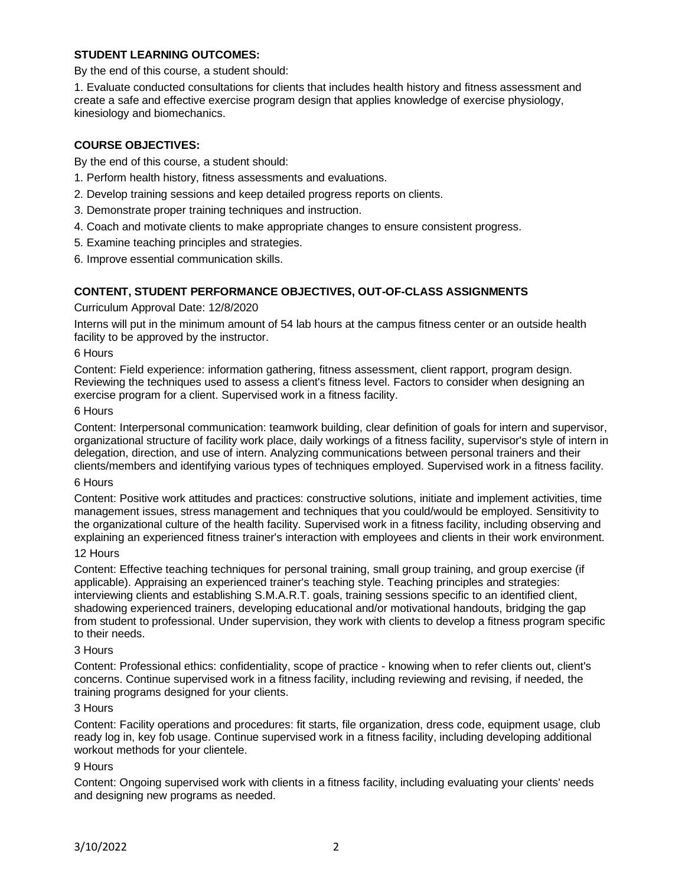# **STUDENT LEARNING OUTCOMES:**

By the end of this course, a student should:

1. Evaluate conducted consultations for clients that includes health history and fitness assessment and create a safe and effective exercise program design that applies knowledge of exercise physiology, kinesiology and biomechanics.

# **COURSE OBJECTIVES:**

By the end of this course, a student should:

- 1. Perform health history, fitness assessments and evaluations.
- 2. Develop training sessions and keep detailed progress reports on clients.
- 3. Demonstrate proper training techniques and instruction.
- 4. Coach and motivate clients to make appropriate changes to ensure consistent progress.
- 5. Examine teaching principles and strategies.

6. Improve essential communication skills.

## **CONTENT, STUDENT PERFORMANCE OBJECTIVES, OUT-OF-CLASS ASSIGNMENTS**

## Curriculum Approval Date: 12/8/2020

Interns will put in the minimum amount of 54 lab hours at the campus fitness center or an outside health facility to be approved by the instructor.

## 6 Hours

Content: Field experience: information gathering, fitness assessment, client rapport, program design. Reviewing the techniques used to assess a client's fitness level. Factors to consider when designing an exercise program for a client. Supervised work in a fitness facility.

## 6 Hours

Content: Interpersonal communication: teamwork building, clear definition of goals for intern and supervisor, organizational structure of facility work place, daily workings of a fitness facility, supervisor's style of intern in delegation, direction, and use of intern. Analyzing communications between personal trainers and their clients/members and identifying various types of techniques employed. Supervised work in a fitness facility.

#### 6 Hours

Content: Positive work attitudes and practices: constructive solutions, initiate and implement activities, time management issues, stress management and techniques that you could/would be employed. Sensitivity to the organizational culture of the health facility. Supervised work in a fitness facility, including observing and explaining an experienced fitness trainer's interaction with employees and clients in their work environment.

### 12 Hours

Content: Effective teaching techniques for personal training, small group training, and group exercise (if applicable). Appraising an experienced trainer's teaching style. Teaching principles and strategies: interviewing clients and establishing S.M.A.R.T. goals, training sessions specific to an identified client, shadowing experienced trainers, developing educational and/or motivational handouts, bridging the gap from student to professional. Under supervision, they work with clients to develop a fitness program specific to their needs.

#### 3 Hours

Content: Professional ethics: confidentiality, scope of practice - knowing when to refer clients out, client's concerns. Continue supervised work in a fitness facility, including reviewing and revising, if needed, the training programs designed for your clients.

#### 3 Hours

Content: Facility operations and procedures: fit starts, file organization, dress code, equipment usage, club ready log in, key fob usage. Continue supervised work in a fitness facility, including developing additional workout methods for your clientele.

## 9 Hours

Content: Ongoing supervised work with clients in a fitness facility, including evaluating your clients' needs and designing new programs as needed.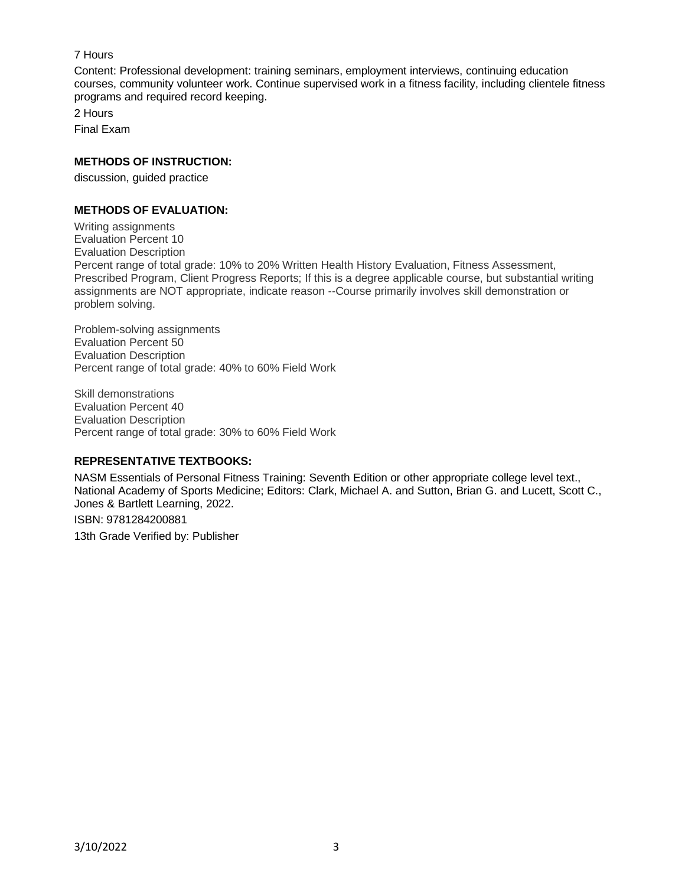# 7 Hours

Content: Professional development: training seminars, employment interviews, continuing education courses, community volunteer work. Continue supervised work in a fitness facility, including clientele fitness programs and required record keeping.

2 Hours Final Exam

# **METHODS OF INSTRUCTION:**

discussion, guided practice

# **METHODS OF EVALUATION:**

Writing assignments Evaluation Percent 10 Evaluation Description Percent range of total grade: 10% to 20% Written Health History Evaluation, Fitness Assessment, Prescribed Program, Client Progress Reports; If this is a degree applicable course, but substantial writing assignments are NOT appropriate, indicate reason --Course primarily involves skill demonstration or problem solving.

Problem-solving assignments Evaluation Percent 50 Evaluation Description Percent range of total grade: 40% to 60% Field Work

Skill demonstrations Evaluation Percent 40 Evaluation Description Percent range of total grade: 30% to 60% Field Work

# **REPRESENTATIVE TEXTBOOKS:**

NASM Essentials of Personal Fitness Training: Seventh Edition or other appropriate college level text., National Academy of Sports Medicine; Editors: Clark, Michael A. and Sutton, Brian G. and Lucett, Scott C., Jones & Bartlett Learning, 2022. ISBN: 9781284200881

13th Grade Verified by: Publisher